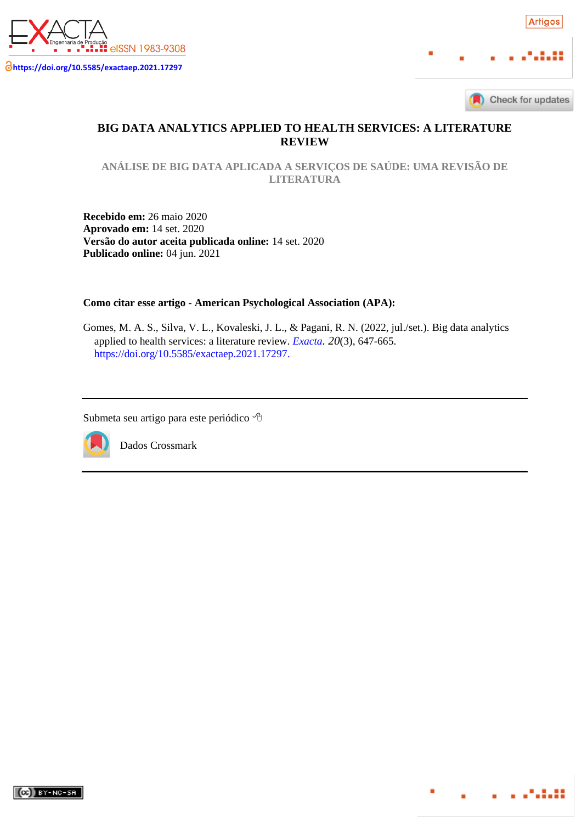



. . . . . . . . .

# **BIG DATA ANALYTICS APPLIED TO HEALTH SERVICES: A LITERATURE REVIEW**

**ANÁLISE DE BIG DATA APLICADA A SERVIÇOS DE SAÚDE: UMA REVISÃO DE LITERATURA**

**Recebido em:** 26 maio 2020 **Aprovado em:** 14 set. 2020 **Versão do autor aceita publicada online:** 14 set. 2020 **Publicado online:** 04 jun. 2021

**Como citar esse artigo - American Psychological Association (APA):**

Gomes, M. A. S., Silva, V. L., Kovaleski, J. L., & Pagani, R. N. (2022, jul./set.). Big data analytics applied to health services: a literature review. *<Exacta>. 20*(3), 647-665. [https://doi.org/10.5585/exactaep.2021.17297.](https://doi.org/10.5585/exactaep.2021.17297)

Submeta seu artigo para este periódico



Dados Crossmark

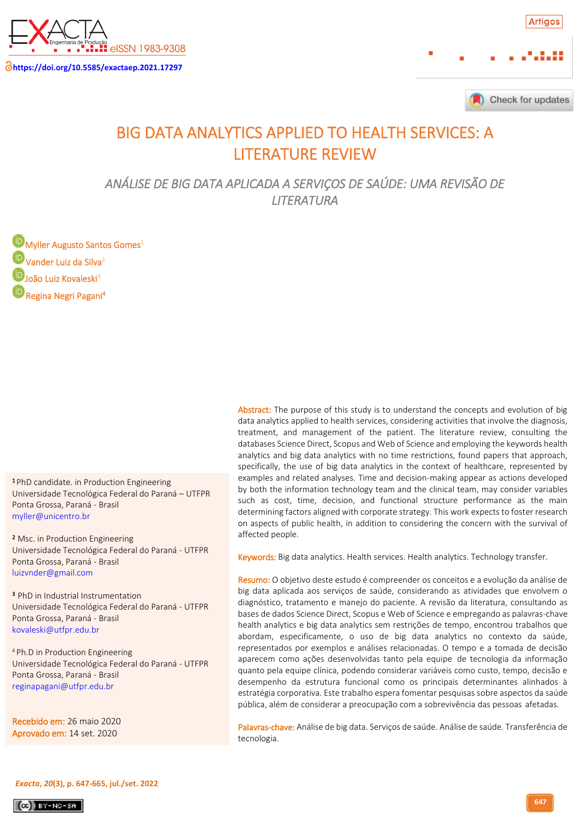



# BIG DATA ANALYTICS APPLIED TO HEALTH SERVICES: A LITERATURE REVIEW

*ANÁLISE DE BIG DATA APLICADA A SERVIÇOS DE SAÚDE: UMA REVISÃO DE LITERATURA* 

**[M](https://orcid.org/0000-0003-2325-6132)yller Augusto Santos Gomes**<sup>1</sup> **D** Vander Luiz da Silva<sup>2</sup>  $\mathbf{D}$ [J](https://orcid.org/0000-0003-4232-8883)oão Luiz Kovaleski<sup>3</sup> <sup>I</sup> Regina Negri Pagani<sup>4</sup>

**1** PhD candidate. in Production Engineering Universidade Tecnológica Federal do Paraná – UTFPR Ponta Grossa, Paraná - Brasil .<br>|-[myller@unicentro.br](mailto:myller@unicentro.br)

<sup>2</sup> Msc. in Production Engineering Universidade Tecnológica Federal do Paraná - UTFPR Ponta Grossa, Paraná - Brasil [luizvnder@gmail.com](mailto:luizvnder@gmail.com)

<sup>3</sup> PhD in Industrial Instrumentation Universidade Tecnológica Federal do Paraná - UTFPR Ponta Grossa, Paraná - Brasil [kovaleski@utfpr.edu.br](mailto:kovaleski@utfpr.edu.br)

<sup>4</sup>Ph.D in Production Engineering Universidade Tecnológica Federal do Paraná - UTFPR Ponta Grossa, Paraná - Brasil [reginapagani@utfpr.edu.br](mailto:reginapagani@utfpr.edu.br)

 Recebido em: 26 maio 2020 ֕ **Aprovado em:** 14 set. 2020

Abstract: The purpose of this study is to understand the concepts and evolution of big data analytics applied to health services, considering activities that involve the diagnosis, treatment, and management of the patient. The literature review, consulting the databases Science Direct, Scopus and Web of Science and employing the keywords health analytics and big data analytics with no time restrictions, found papers that approach, specifically, the use of big data analytics in the context of healthcare, represented by examples and related analyses. Time and decision-making appear as actions developed by both the information technology team and the clinical team, may consider variables such as cost, time, decision, and functional structure performance as the main determining factors aligned with corporate strategy. This work expects to foster research on aspects of public health, in addition to considering the concern with the survival of affected people.

Keywords: Big data analytics. Health services. Health analytics. Technology transfer.

Resumo: O objetivo deste estudo é compreender os conceitos e a evolução da análise de big data aplicada aos serviços de saúde, considerando as atividades que envolvem o diagnóstico, tratamento e manejo do paciente. A revisão da literatura, consultando as bases de dados Science Direct, Scopus e Web of Science e empregando as palavras-chave health analytics e big data analytics sem restrições de tempo, encontrou trabalhos que abordam, especificamente, o uso de big data analytics no contexto da saúde, representados por exemplos e análises relacionadas. O tempo e a tomada de decisão aparecem como ações desenvolvidas tanto pela equipe de tecnologia da informação quanto pela equipe clínica, podendo considerar variáveis como custo, tempo, decisão e desempenho da estrutura funcional como os principais determinantes alinhados à estratégia corporativa. Este trabalho espera fomentar pesquisas sobre aspectos da saúde pública, além de considerar a preocupação com a sobrevivência das pessoas afetadas.

Palavras-chave: Análise de big data. Serviços de saúde. Análise de saúde. Transferência de tecnologia.



 $(G)$  BY-NC-SA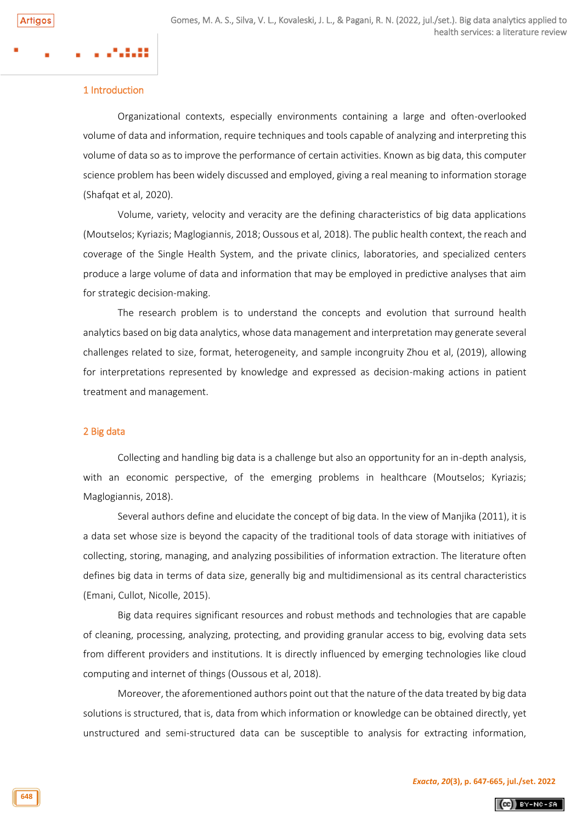### 1 Introduction

Organizational contexts, especially environments containing a large and often-overlooked volume of data and information, require techniques and tools capable of analyzing and interpreting this volume of data so as to improve the performance of certain activities. Known as big data, this computer science problem has been widely discussed and employed, giving a real meaning to information storage (Shafqat et al, 2020).

Volume, variety, velocity and veracity are the defining characteristics of big data applications (Moutselos; Kyriazis; Maglogiannis, 2018; Oussous et al, 2018). The public health context, the reach and coverage of the Single Health System, and the private clinics, laboratories, and specialized centers produce a large volume of data and information that may be employed in predictive analyses that aim for strategic decision-making.

The research problem is to understand the concepts and evolution that surround health analytics based on big data analytics, whose data management and interpretation may generate several challenges related to size, format, heterogeneity, and sample incongruity Zhou et al, (2019), allowing for interpretations represented by knowledge and expressed as decision-making actions in patient treatment and management.

### 2 Big data

Collecting and handling big data is a challenge but also an opportunity for an in-depth analysis, with an economic perspective, of the emerging problems in healthcare (Moutselos; Kyriazis; Maglogiannis, 2018).

Several authors define and elucidate the concept of big data. In the view of Manjika (2011), it is a data set whose size is beyond the capacity of the traditional tools of data storage with initiatives of collecting, storing, managing, and analyzing possibilities of information extraction. The literature often defines big data in terms of data size, generally big and multidimensional as its central characteristics (Emani, Cullot, Nicolle, 2015).

Big data requires significant resources and robust methods and technologies that are capable of cleaning, processing, analyzing, protecting, and providing granular access to big, evolving data sets from different providers and institutions. It is directly influenced by emerging technologies like cloud computing and internet of things (Oussous et al, 2018).

Moreover, the aforementioned authors point out that the nature of the data treated by big data solutions is structured, that is, data from which information or knowledge can be obtained directly, yet unstructured and semi-structured data can be susceptible to analysis for extracting information,

 $(Ge)$  BY-NC-SA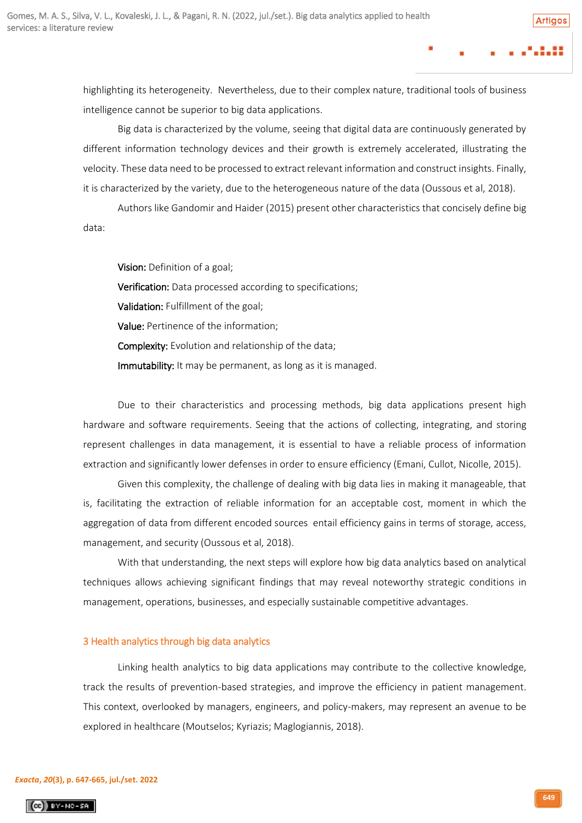highlighting its heterogeneity. Nevertheless, due to their complex nature, traditional tools of business intelligence cannot be superior to big data applications.

Big data is characterized by the volume, seeing that digital data are continuously generated by different information technology devices and their growth is extremely accelerated, illustrating the velocity. These data need to be processed to extract relevant information and construct insights. Finally, it is characterized by the variety, due to the heterogeneous nature of the data (Oussous et al, 2018).

Authors like Gandomir and Haider (2015) present other characteristics that concisely define big data:

Vision: Definition of a goal; Verification: Data processed according to specifications; Validation: Fulfillment of the goal; Value: Pertinence of the information; Complexity: Evolution and relationship of the data; Immutability: It may be permanent, as long as it is managed.

Due to their characteristics and processing methods, big data applications present high hardware and software requirements. Seeing that the actions of collecting, integrating, and storing represent challenges in data management, it is essential to have a reliable process of information extraction and significantly lower defenses in order to ensure efficiency (Emani, Cullot, Nicolle, 2015).

Given this complexity, the challenge of dealing with big data lies in making it manageable, that is, facilitating the extraction of reliable information for an acceptable cost, moment in which the aggregation of data from different encoded sources entail efficiency gains in terms of storage, access, management, and security (Oussous et al, 2018).

With that understanding, the next steps will explore how big data analytics based on analytical techniques allows achieving significant findings that may reveal noteworthy strategic conditions in management, operations, businesses, and especially sustainable competitive advantages.

### 3 Health analytics through big data analytics

Linking health analytics to big data applications may contribute to the collective knowledge, track the results of prevention-based strategies, and improve the efficiency in patient management. This context, overlooked by managers, engineers, and policy-makers, may represent an avenue to be explored in healthcare (Moutselos; Kyriazis; Maglogiannis, 2018).

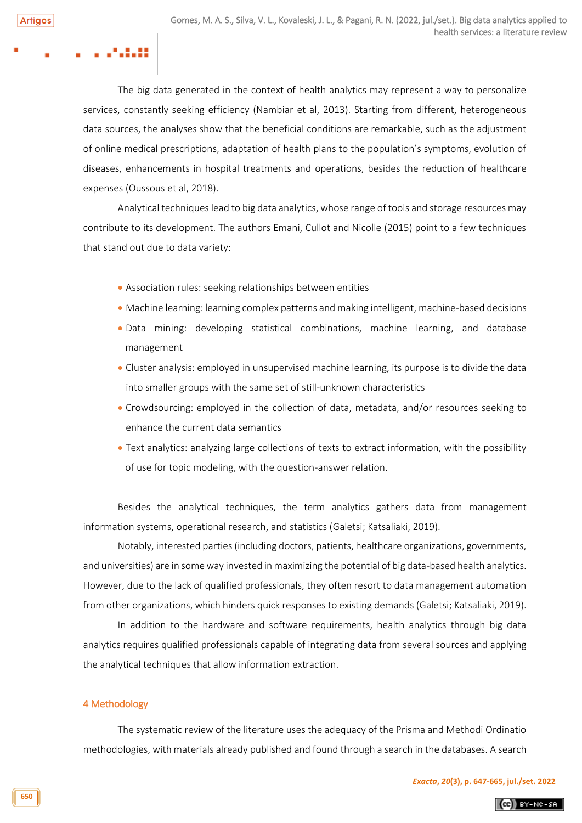The big data generated in the context of health analytics may represent a way to personalize services, constantly seeking efficiency (Nambiar et al, 2013). Starting from different, heterogeneous data sources, the analyses show that the beneficial conditions are remarkable, such as the adjustment of online medical prescriptions, adaptation of health plans to the population's symptoms, evolution of diseases, enhancements in hospital treatments and operations, besides the reduction of healthcare expenses (Oussous et al, 2018).

Analytical techniques lead to big data analytics, whose range of tools and storage resources may contribute to its development. The authors Emani, Cullot and Nicolle (2015) point to a few techniques that stand out due to data variety:

- Association rules: seeking relationships between entities
- Machine learning: learning complex patterns and making intelligent, machine-based decisions
- Data mining: developing statistical combinations, machine learning, and database management
- Cluster analysis: employed in unsupervised machine learning, its purpose is to divide the data into smaller groups with the same set of still-unknown characteristics
- Crowdsourcing: employed in the collection of data, metadata, and/or resources seeking to enhance the current data semantics
- Text analytics: analyzing large collections of texts to extract information, with the possibility of use for topic modeling, with the question-answer relation.

Besides the analytical techniques, the term analytics gathers data from management information systems, operational research, and statistics (Galetsi; Katsaliaki, 2019).

Notably, interested parties (including doctors, patients, healthcare organizations, governments, and universities) are in some way invested in maximizing the potential of big data-based health analytics. However, due to the lack of qualified professionals, they often resort to data management automation from other organizations, which hinders quick responses to existing demands (Galetsi; Katsaliaki, 2019).

In addition to the hardware and software requirements, health analytics through big data analytics requires qualified professionals capable of integrating data from several sources and applying the analytical techniques that allow information extraction.

### 4 Methodology

The systematic review of the literature uses the adequacy of the Prisma and Methodi Ordinatio methodologies, with materials already published and found through a search in the databases. A search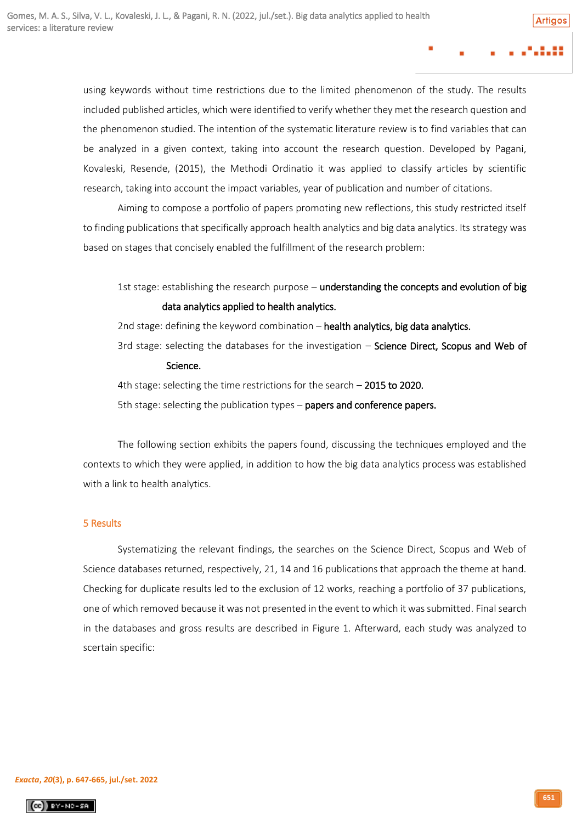using keywords without time restrictions due to the limited phenomenon of the study. The results included published articles, which were identified to verify whether they met the research question and the phenomenon studied. The intention of the systematic literature review is to find variables that can be analyzed in a given context, taking into account the research question. Developed by Pagani, Kovaleski, Resende, (2015), the Methodi Ordinatio it was applied to classify articles by scientific research, taking into account the impact variables, year of publication and number of citations.

Aiming to compose a portfolio of papers promoting new reflections, this study restricted itself to finding publications that specifically approach health analytics and big data analytics. Its strategy was based on stages that concisely enabled the fulfillment of the research problem:

1st stage: establishing the research purpose – understanding the concepts and evolution of big data analytics applied to health analytics.

2nd stage: defining the keyword combination – health analytics, big data analytics.

3rd stage: selecting the databases for the investigation  $-$  Science Direct, Scopus and Web of Science.

4th stage: selecting the time restrictions for the search - 2015 to 2020.

5th stage: selecting the publication types – papers and conference papers.

The following section exhibits the papers found, discussing the techniques employed and the contexts to which they were applied, in addition to how the big data analytics process was established with a link to health analytics.

# 5 Results

Systematizing the relevant findings, the searches on the Science Direct, Scopus and Web of Science databases returned, respectively, 21, 14 and 16 publications that approach the theme at hand. Checking for duplicate results led to the exclusion of 12 works, reaching a portfolio of 37 publications, one of which removed because it was not presented in the event to which it was submitted. Final search in the databases and gross results are described in Figure 1. Afterward, each study was analyzed to scertain specific:

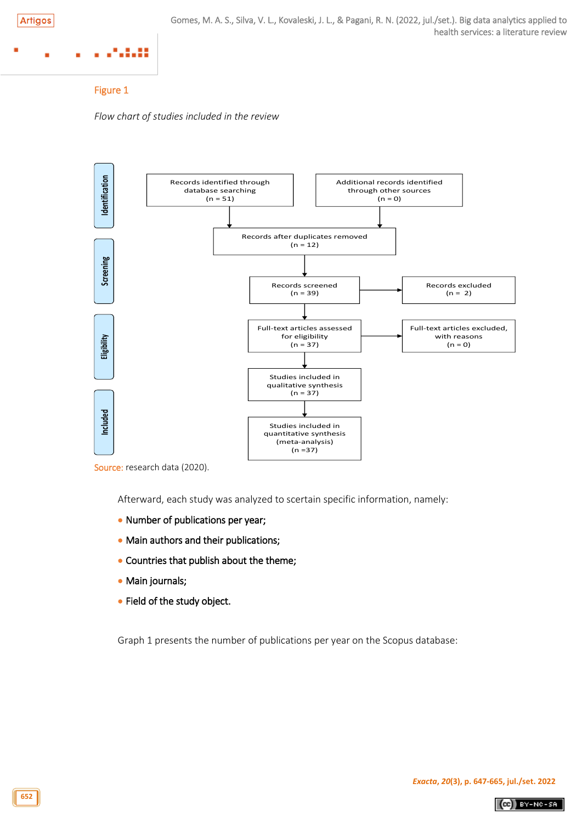# .:.::

# Figure 1

*Flow chart of studies included in the review*



Source: research data (2020).

Afterward, each study was analyzed to scertain specific information, namely:

- Number of publications per year;
- Main authors and their publications;
- Countries that publish about the theme;
- Main journals;
- Field of the study object.

Graph 1 presents the number of publications per year on the Scopus database:

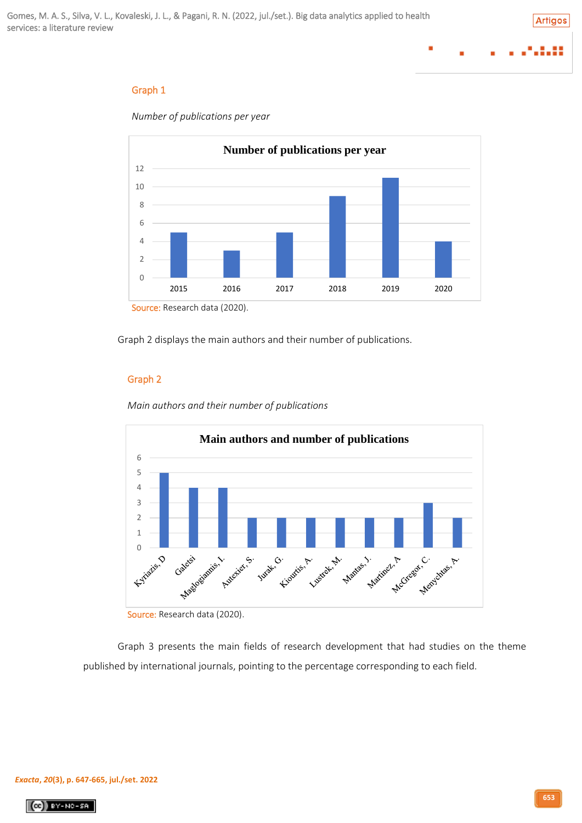# Graph 1



*Number of publications per year*

Graph 2 displays the main authors and their number of publications.

# Graph 2





Source: Research data (2020).

Graph 3 presents the main fields of research development that had studies on the theme published by international journals, pointing to the percentage corresponding to each field.

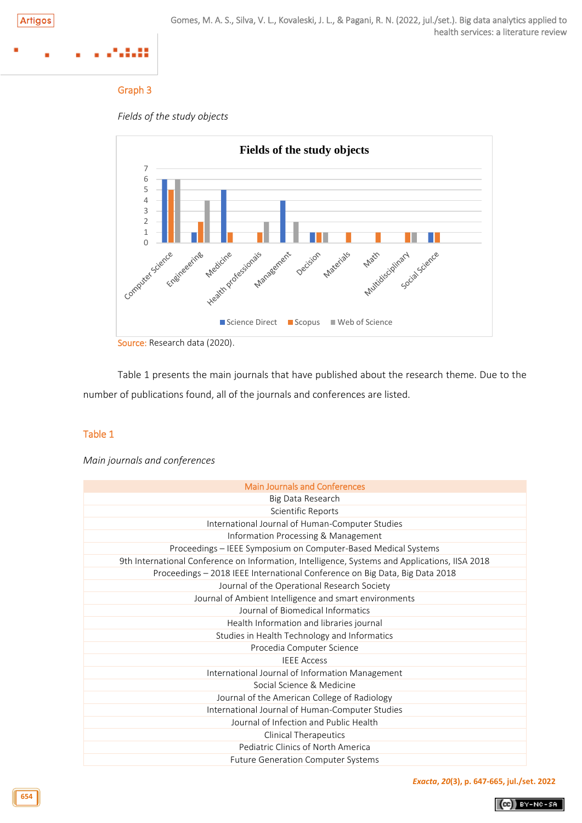# ...

# Graph 3





Table 1 presents the main journals that have published about the research theme. Due to the number of publications found, all of the journals and conferences are listed.

# Table 1

# *Main journals and conferences*

| <b>Main Journals and Conferences</b>                                                           |
|------------------------------------------------------------------------------------------------|
| Big Data Research                                                                              |
| Scientific Reports                                                                             |
| International Journal of Human-Computer Studies                                                |
| Information Processing & Management                                                            |
| Proceedings - IEEE Symposium on Computer-Based Medical Systems                                 |
| 9th International Conference on Information, Intelligence, Systems and Applications, IISA 2018 |
| Proceedings - 2018 IEEE International Conference on Big Data, Big Data 2018                    |
| Journal of the Operational Research Society                                                    |
| Journal of Ambient Intelligence and smart environments                                         |
| Journal of Biomedical Informatics                                                              |
| Health Information and libraries journal                                                       |
| Studies in Health Technology and Informatics                                                   |
| Procedia Computer Science                                                                      |
| <b>IFFF Access</b>                                                                             |
| International Journal of Information Management                                                |
| Social Science & Medicine                                                                      |
| Journal of the American College of Radiology                                                   |
| International Journal of Human-Computer Studies                                                |
| Journal of Infection and Public Health                                                         |
| <b>Clinical Therapeutics</b>                                                                   |
| Pediatric Clinics of North America                                                             |
| <b>Future Generation Computer Systems</b>                                                      |

*[Exacta](http://www.revistaexacta.org.br/)***,** *20***(3), p. 647-665, jul./set. 2022**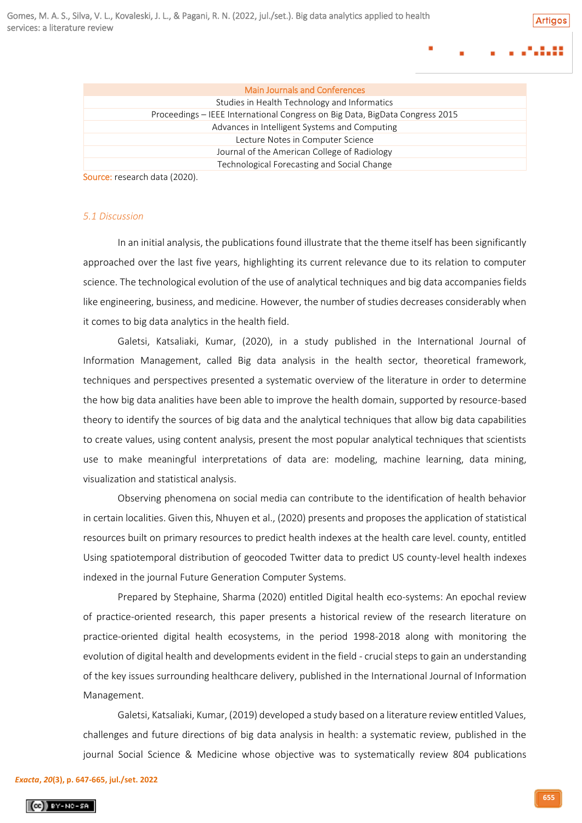Artians

|  |   | . |  |
|--|---|---|--|
|  | . |   |  |

|                       | <b>Main Journals and Conferences</b>                                         |
|-----------------------|------------------------------------------------------------------------------|
|                       | Studies in Health Technology and Informatics                                 |
|                       | Proceedings - IEEE International Congress on Big Data, BigData Congress 2015 |
|                       | Advances in Intelligent Systems and Computing                                |
|                       | Lecture Notes in Computer Science                                            |
|                       | Journal of the American College of Radiology                                 |
|                       | Technological Forecasting and Social Change                                  |
| $\tilde{\phantom{a}}$ | 10000                                                                        |

Source: research data (2020).

#### *5.1 Discussion*

In an initial analysis, the publications found illustrate that the theme itself has been significantly approached over the last five years, highlighting its current relevance due to its relation to computer science. The technological evolution of the use of analytical techniques and big data accompanies fields like engineering, business, and medicine. However, the number of studies decreases considerably when it comes to big data analytics in the health field.

Galetsi, Katsaliaki, Kumar, (2020), in a study published in the International Journal of Information Management, called Big data analysis in the health sector, theoretical framework, techniques and perspectives presented a systematic overview of the literature in order to determine the how big data analities have been able to improve the health domain, supported by resource-based theory to identify the sources of big data and the analytical techniques that allow big data capabilities to create values, using content analysis, present the most popular analytical techniques that scientists use to make meaningful interpretations of data are: modeling, machine learning, data mining, visualization and statistical analysis.

Observing phenomena on social media can contribute to the identification of health behavior in certain localities. Given this, Nhuyen et al., (2020) presents and proposes the application of statistical resources built on primary resources to predict health indexes at the health care level. county, entitled Using spatiotemporal distribution of geocoded Twitter data to predict US county-level health indexes indexed in the journal Future Generation Computer Systems.

Prepared by Stephaine, Sharma (2020) entitled Digital health eco-systems: An epochal review of practice-oriented research, this paper presents a historical review of the research literature on practice-oriented digital health ecosystems, in the period 1998-2018 along with monitoring the evolution of digital health and developments evident in the field - crucial steps to gain an understanding of the key issues surrounding healthcare delivery, published in the International Journal of Information Management.

Galetsi, Katsaliaki, Kumar, (2019) developed a study based on a literature review entitled Values, challenges and future directions of big data analysis in health: a systematic review, published in the journal Social Science & Medicine whose objective was to systematically review 804 publications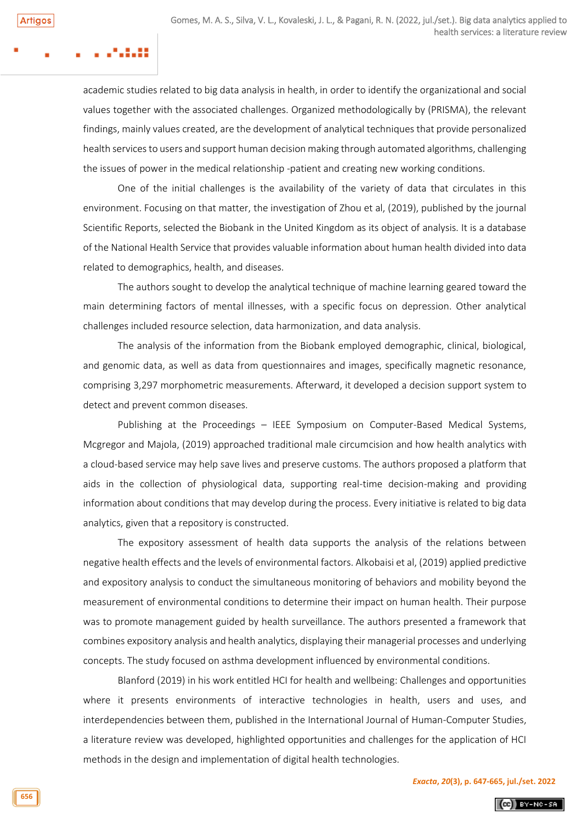**Artigos** 

academic studies related to big data analysis in health, in order to identify the organizational and social values together with the associated challenges. Organized methodologically by (PRISMA), the relevant findings, mainly values created, are the development of analytical techniques that provide personalized health services to users and support human decision making through automated algorithms, challenging the issues of power in the medical relationship -patient and creating new working conditions.

One of the initial challenges is the availability of the variety of data that circulates in this environment. Focusing on that matter, the investigation of Zhou et al, (2019), published by the journal Scientific Reports, selected the Biobank in the United Kingdom as its object of analysis. It is a database of the National Health Service that provides valuable information about human health divided into data related to demographics, health, and diseases.

The authors sought to develop the analytical technique of machine learning geared toward the main determining factors of mental illnesses, with a specific focus on depression. Other analytical challenges included resource selection, data harmonization, and data analysis.

The analysis of the information from the Biobank employed demographic, clinical, biological, and genomic data, as well as data from questionnaires and images, specifically magnetic resonance, comprising 3,297 morphometric measurements. Afterward, it developed a decision support system to detect and prevent common diseases.

Publishing at the Proceedings – IEEE Symposium on Computer-Based Medical Systems, Mcgregor and Majola, (2019) approached traditional male circumcision and how health analytics with a cloud-based service may help save lives and preserve customs. The authors proposed a platform that aids in the collection of physiological data, supporting real-time decision-making and providing information about conditions that may develop during the process. Every initiative is related to big data analytics, given that a repository is constructed.

The expository assessment of health data supports the analysis of the relations between negative health effects and the levels of environmental factors. Alkobaisi et al, (2019) applied predictive and expository analysis to conduct the simultaneous monitoring of behaviors and mobility beyond the measurement of environmental conditions to determine their impact on human health. Their purpose was to promote management guided by health surveillance. The authors presented a framework that combines expository analysis and health analytics, displaying their managerial processes and underlying concepts. The study focused on asthma development influenced by environmental conditions.

Blanford (2019) in his work entitled HCI for health and wellbeing: Challenges and opportunities where it presents environments of interactive technologies in health, users and uses, and interdependencies between them, published in the International Journal of Human-Computer Studies, a literature review was developed, highlighted opportunities and challenges for the application of HCI methods in the design and implementation of digital health technologies.

 $(G)$  BY-NC-SA

**656**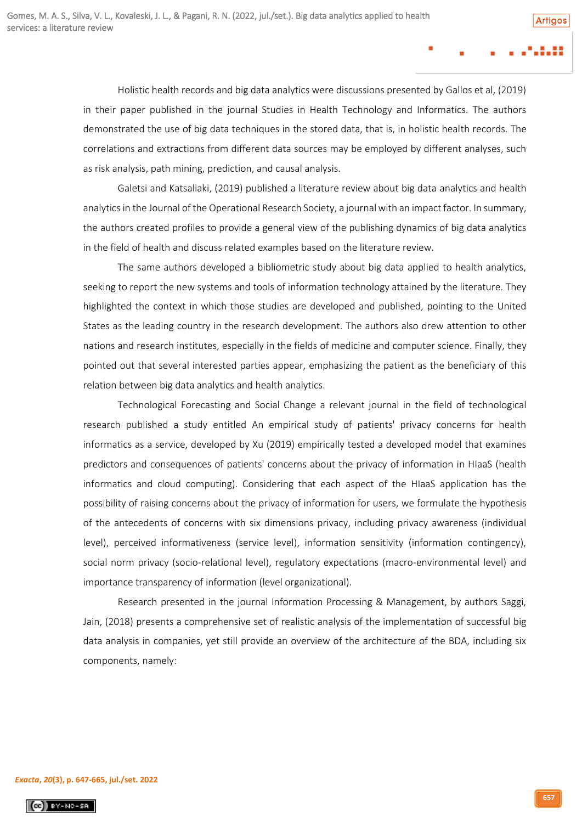Holistic health records and big data analytics were discussions presented by Gallos et al, (2019) in their paper published in the journal Studies in Health Technology and Informatics. The authors demonstrated the use of big data techniques in the stored data, that is, in holistic health records. The correlations and extractions from different data sources may be employed by different analyses, such as risk analysis, path mining, prediction, and causal analysis.

Galetsi and Katsaliaki, (2019) published a literature review about big data analytics and health analytics in the Journal of the Operational Research Society, a journal with an impact factor. In summary, the authors created profiles to provide a general view of the publishing dynamics of big data analytics in the field of health and discuss related examples based on the literature review.

The same authors developed a bibliometric study about big data applied to health analytics, seeking to report the new systems and tools of information technology attained by the literature. They highlighted the context in which those studies are developed and published, pointing to the United States as the leading country in the research development. The authors also drew attention to other nations and research institutes, especially in the fields of medicine and computer science. Finally, they pointed out that several interested parties appear, emphasizing the patient as the beneficiary of this relation between big data analytics and health analytics.

Technological Forecasting and Social Change a relevant journal in the field of technological research published a study entitled An empirical study of patients' privacy concerns for health informatics as a service, developed by Xu (2019) empirically tested a developed model that examines predictors and consequences of patients' concerns about the privacy of information in HIaaS (health informatics and cloud computing). Considering that each aspect of the HIaaS application has the possibility of raising concerns about the privacy of information for users, we formulate the hypothesis of the antecedents of concerns with six dimensions privacy, including privacy awareness (individual level), perceived informativeness (service level), information sensitivity (information contingency), social norm privacy (socio-relational level), regulatory expectations (macro-environmental level) and importance transparency of information (level organizational).

Research presented in the journal Information Processing & Management, by authors Saggi, Jain, (2018) presents a comprehensive set of realistic analysis of the implementation of successful big data analysis in companies, yet still provide an overview of the architecture of the BDA, including six components, namely:

#### *[Exacta](http://www.revistaexacta.org.br/)***,** *20***(3), p. 647-665, jul./set. 2022**

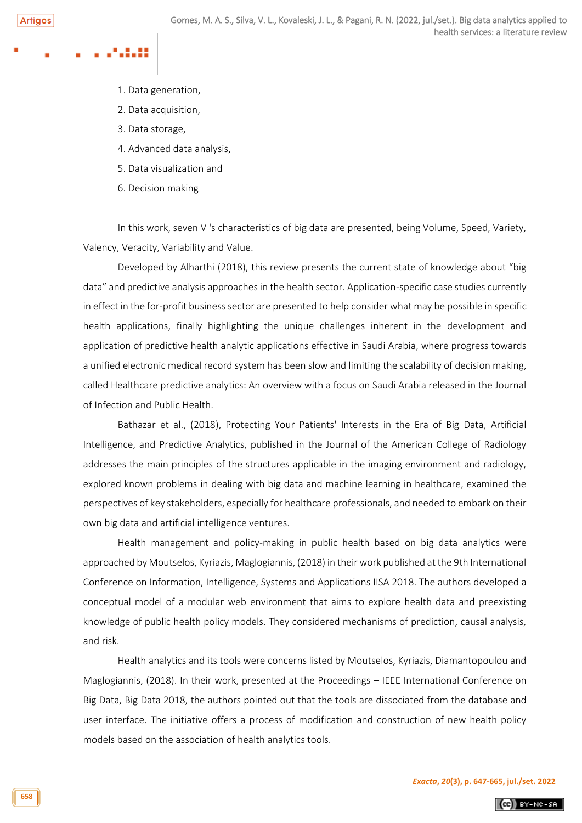- 1. Data generation,
- 2. Data acquisition,
- 3. Data storage,
- 4. Advanced data analysis,
- 5. Data visualization and
- 6. Decision making

In this work, seven V 's characteristics of big data are presented, being Volume, Speed, Variety, Valency, Veracity, Variability and Value.

Developed by Alharthi (2018), this review presents the current state of knowledge about "big data" and predictive analysis approaches in the health sector. Application-specific case studies currently in effect in the for-profit business sector are presented to help consider what may be possible in specific health applications, finally highlighting the unique challenges inherent in the development and application of predictive health analytic applications effective in Saudi Arabia, where progress towards a unified electronic medical record system has been slow and limiting the scalability of decision making, called Healthcare predictive analytics: An overview with a focus on Saudi Arabia released in the Journal of Infection and Public Health.

Bathazar et al., (2018), Protecting Your Patients' Interests in the Era of Big Data, Artificial Intelligence, and Predictive Analytics, published in the Journal of the American College of Radiology addresses the main principles of the structures applicable in the imaging environment and radiology, explored known problems in dealing with big data and machine learning in healthcare, examined the perspectives of key stakeholders, especially for healthcare professionals, and needed to embark on their own big data and artificial intelligence ventures.

Health management and policy-making in public health based on big data analytics were approached by Moutselos, Kyriazis, Maglogiannis, (2018) in their work published at the 9th International Conference on Information, Intelligence, Systems and Applications IISA 2018. The authors developed a conceptual model of a modular web environment that aims to explore health data and preexisting knowledge of public health policy models. They considered mechanisms of prediction, causal analysis, and risk.

Health analytics and its tools were concerns listed by Moutselos, Kyriazis, Diamantopoulou and Maglogiannis, (2018). In their work, presented at the Proceedings – IEEE International Conference on Big Data, Big Data 2018, the authors pointed out that the tools are dissociated from the database and user interface. The initiative offers a process of modification and construction of new health policy models based on the association of health analytics tools.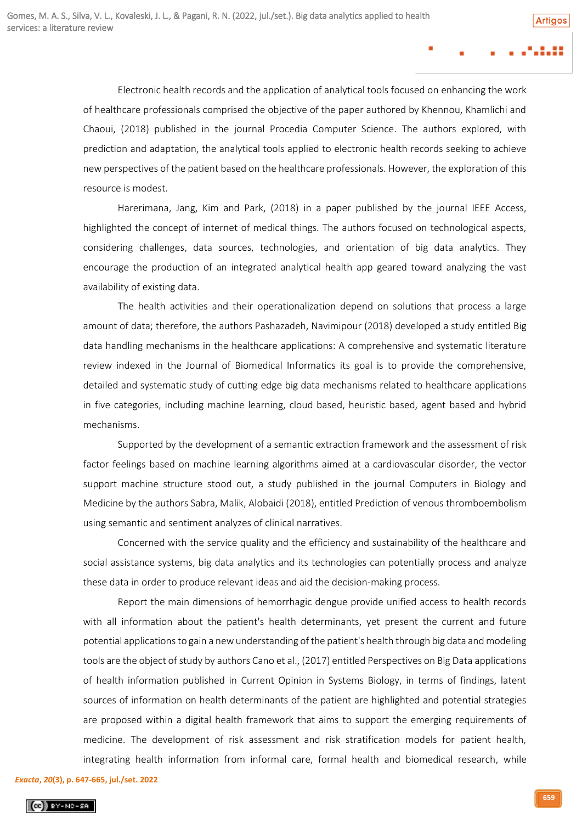Electronic health records and the application of analytical tools focused on enhancing the work of healthcare professionals comprised the objective of the paper authored by Khennou, Khamlichi and Chaoui, (2018) published in the journal Procedia Computer Science. The authors explored, with prediction and adaptation, the analytical tools applied to electronic health records seeking to achieve new perspectives of the patient based on the healthcare professionals. However, the exploration of this resource is modest.

Harerimana, Jang, Kim and Park, (2018) in a paper published by the journal IEEE Access, highlighted the concept of internet of medical things. The authors focused on technological aspects, considering challenges, data sources, technologies, and orientation of big data analytics. They encourage the production of an integrated analytical health app geared toward analyzing the vast availability of existing data.

The health activities and their operationalization depend on solutions that process a large amount of data; therefore, the authors Pashazadeh, Navimipour (2018) developed a study entitled Big data handling mechanisms in the healthcare applications: A comprehensive and systematic literature review indexed in the Journal of Biomedical Informatics its goal is to provide the comprehensive, detailed and systematic study of cutting edge big data mechanisms related to healthcare applications in five categories, including machine learning, cloud based, heuristic based, agent based and hybrid mechanisms.

Supported by the development of a semantic extraction framework and the assessment of risk factor feelings based on machine learning algorithms aimed at a cardiovascular disorder, the vector support machine structure stood out, a study published in the journal Computers in Biology and Medicine by the authors Sabra, Malik, Alobaidi (2018), entitled Prediction of venous thromboembolism using semantic and sentiment analyzes of clinical narratives.

Concerned with the service quality and the efficiency and sustainability of the healthcare and social assistance systems, big data analytics and its technologies can potentially process and analyze these data in order to produce relevant ideas and aid the decision-making process.

Report the main dimensions of hemorrhagic dengue provide unified access to health records with all information about the patient's health determinants, yet present the current and future potential applications to gain a new understanding of the patient's health through big data and modeling tools are the object of study by authors Cano et al., (2017) entitled Perspectives on Big Data applications of health information published in Current Opinion in Systems Biology, in terms of findings, latent sources of information on health determinants of the patient are highlighted and potential strategies are proposed within a digital health framework that aims to support the emerging requirements of medicine. The development of risk assessment and risk stratification models for patient health, integrating health information from informal care, formal health and biomedical research, while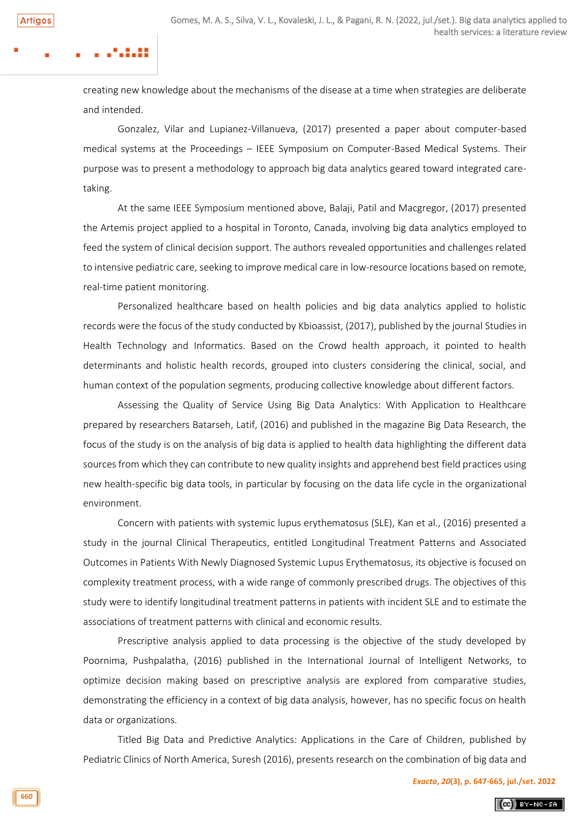creating new knowledge about the mechanisms of the disease at a time when strategies are deliberate and intended.

Gonzalez, Vilar and Lupianez-Villanueva, (2017) presented a paper about computer-based medical systems at the Proceedings – IEEE Symposium on Computer-Based Medical Systems. Their purpose was to present a methodology to approach big data analytics geared toward integrated caretaking.

At the same IEEE Symposium mentioned above, Balaji, Patil and Macgregor, (2017) presented the Artemis project applied to a hospital in Toronto, Canada, involving big data analytics employed to feed the system of clinical decision support. The authors revealed opportunities and challenges related to intensive pediatric care, seeking to improve medical care in low-resource locations based on remote, real-time patient monitoring.

Personalized healthcare based on health policies and big data analytics applied to holistic records were the focus of the study conducted by Kbioassist, (2017), published by the journal Studies in Health Technology and Informatics. Based on the Crowd health approach, it pointed to health determinants and holistic health records, grouped into clusters considering the clinical, social, and human context of the population segments, producing collective knowledge about different factors.

Assessing the Quality of Service Using Big Data Analytics: With Application to Healthcare prepared by researchers Batarseh, Latif, (2016) and published in the magazine Big Data Research, the focus of the study is on the analysis of big data is applied to health data highlighting the different data sources from which they can contribute to new quality insights and apprehend best field practices using new health-specific big data tools, in particular by focusing on the data life cycle in the organizational environment.

Concern with patients with systemic lupus erythematosus (SLE), Kan et al., (2016) presented a study in the journal Clinical Therapeutics, entitled Longitudinal Treatment Patterns and Associated Outcomes in Patients With Newly Diagnosed Systemic Lupus Erythematosus, its objective is focused on complexity treatment process, with a wide range of commonly prescribed drugs. The objectives of this study were to identify longitudinal treatment patterns in patients with incident SLE and to estimate the associations of treatment patterns with clinical and economic results.

Prescriptive analysis applied to data processing is the objective of the study developed by Poornima, Pushpalatha, (2016) published in the International Journal of Intelligent Networks, to optimize decision making based on prescriptive analysis are explored from comparative studies, demonstrating the efficiency in a context of big data analysis, however, has no specific focus on health data or organizations.

Titled Big Data and Predictive Analytics: Applications in the Care of Children, published by Pediatric Clinics of North America, Suresh (2016), presents research on the combination of big data and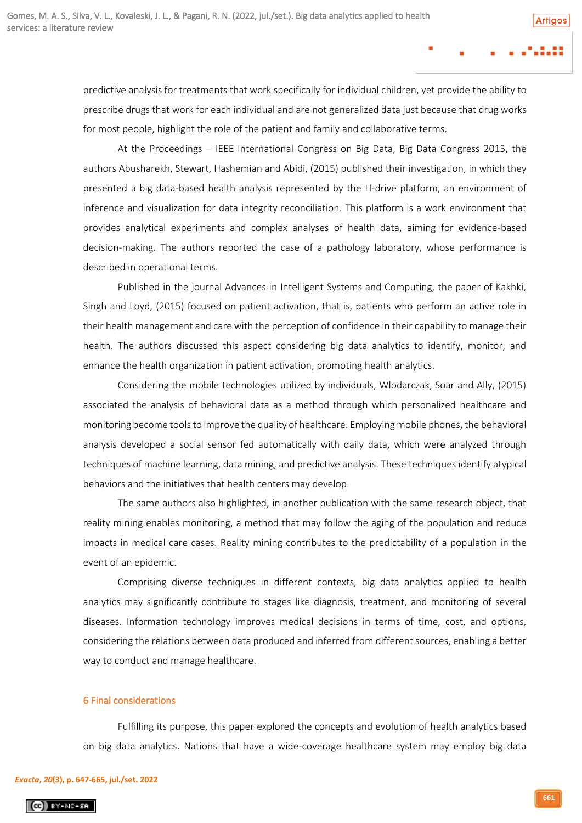predictive analysis for treatments that work specifically for individual children, yet provide the ability to prescribe drugs that work for each individual and are not generalized data just because that drug works for most people, highlight the role of the patient and family and collaborative terms.

At the Proceedings – IEEE International Congress on Big Data, Big Data Congress 2015, the authors Abusharekh, Stewart, Hashemian and Abidi, (2015) published their investigation, in which they presented a big data-based health analysis represented by the H-drive platform, an environment of inference and visualization for data integrity reconciliation. This platform is a work environment that provides analytical experiments and complex analyses of health data, aiming for evidence-based decision-making. The authors reported the case of a pathology laboratory, whose performance is described in operational terms.

Published in the journal Advances in Intelligent Systems and Computing, the paper of Kakhki, Singh and Loyd, (2015) focused on patient activation, that is, patients who perform an active role in their health management and care with the perception of confidence in their capability to manage their health. The authors discussed this aspect considering big data analytics to identify, monitor, and enhance the health organization in patient activation, promoting health analytics.

Considering the mobile technologies utilized by individuals, Wlodarczak, Soar and Ally, (2015) associated the analysis of behavioral data as a method through which personalized healthcare and monitoring become tools to improve the quality of healthcare. Employing mobile phones, the behavioral analysis developed a social sensor fed automatically with daily data, which were analyzed through techniques of machine learning, data mining, and predictive analysis. These techniques identify atypical behaviors and the initiatives that health centers may develop.

The same authors also highlighted, in another publication with the same research object, that reality mining enables monitoring, a method that may follow the aging of the population and reduce impacts in medical care cases. Reality mining contributes to the predictability of a population in the event of an epidemic.

Comprising diverse techniques in different contexts, big data analytics applied to health analytics may significantly contribute to stages like diagnosis, treatment, and monitoring of several diseases. Information technology improves medical decisions in terms of time, cost, and options, considering the relations between data produced and inferred from different sources, enabling a better way to conduct and manage healthcare.

### 6 Final considerations

Fulfilling its purpose, this paper explored the concepts and evolution of health analytics based on big data analytics. Nations that have a wide-coverage healthcare system may employ big data

### *[Exacta](http://www.revistaexacta.org.br/)***,** *20***(3), p. 647-665, jul./set. 2022**

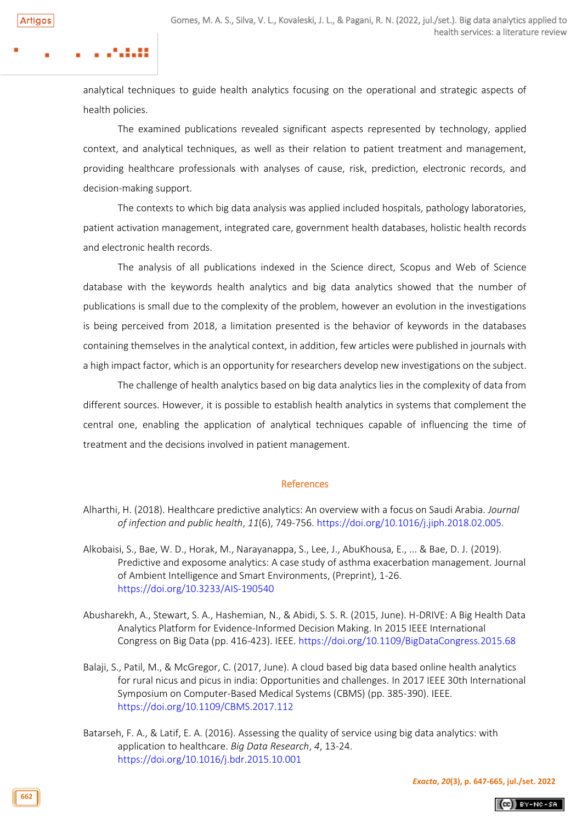### . . . . . . . .

analytical techniques to guide health analytics focusing on the operational and strategic aspects of health policies.

The examined publications revealed significant aspects represented by technology, applied context, and analytical techniques, as well as their relation to patient treatment and management, providing healthcare professionals with analyses of cause, risk, prediction, electronic records, and decision-making support.

The contexts to which big data analysis was applied included hospitals, pathology laboratories, patient activation management, integrated care, government health databases, holistic health records and electronic health records.

The analysis of all publications indexed in the Science direct, Scopus and Web of Science database with the keywords health analytics and big data analytics showed that the number of publications is small due to the complexity of the problem, however an evolution in the investigations is being perceived from 2018, a limitation presented is the behavior of keywords in the databases containing themselves in the analytical context, in addition, few articles were published in journals with a high impact factor, which is an opportunity for researchers develop new investigations on the subject.

The challenge of health analytics based on big data analytics lies in the complexity of data from different sources. However, it is possible to establish health analytics in systems that complement the central one, enabling the application of analytical techniques capable of influencing the time of treatment and the decisions involved in patient management.

#### References

- Alkobaisi, S., Bae, W. D., Horak, M., Narayanappa, S., Lee, J., AbuKhousa, E., ... & Bae, D. J. (2019). Predictive and exposome analytics: A case study of asthma exacerbation management. Journal of Ambient Intelligence and Smart Environments, (Preprint), 1-26. <https://doi.org/10.3233/AIS-190540>
- Abusharekh, A., Stewart, S. A., Hashemian, N., & Abidi, S. S. R. (2015, June). H-DRIVE: A Big Health Data Analytics Platform for Evidence-Informed Decision Making. In 2015 IEEE International Congress on Big Data (pp. 416-423). IEEE.<https://doi.org/10.1109/BigDataCongress.2015.68>
- Balaji, S., Patil, M., & McGregor, C. (2017, June). A cloud based big data based online health analytics for rural nicus and picus in india: Opportunities and challenges. In 2017 IEEE 30th International Symposium on Computer-Based Medical Systems (CBMS) (pp. 385-390). IEEE. <https://doi.org/10.1109/CBMS.2017.112>
- Batarseh, F. A., & Latif, E. A. (2016). Assessing the quality of service using big data analytics: with application to healthcare. *Big Data Research*, *4*, 13-24. <https://doi.org/10.1016/j.bdr.2015.10.001>

 $(Ge)$  BY-NC-SA

Alharthi, H. (2018). Healthcare predictive analytics: An overview with a focus on Saudi Arabia. *Journal of infection and public health*, *11*(6), 749-756. <https://doi.org/10.1016/j.jiph.2018.02.005.>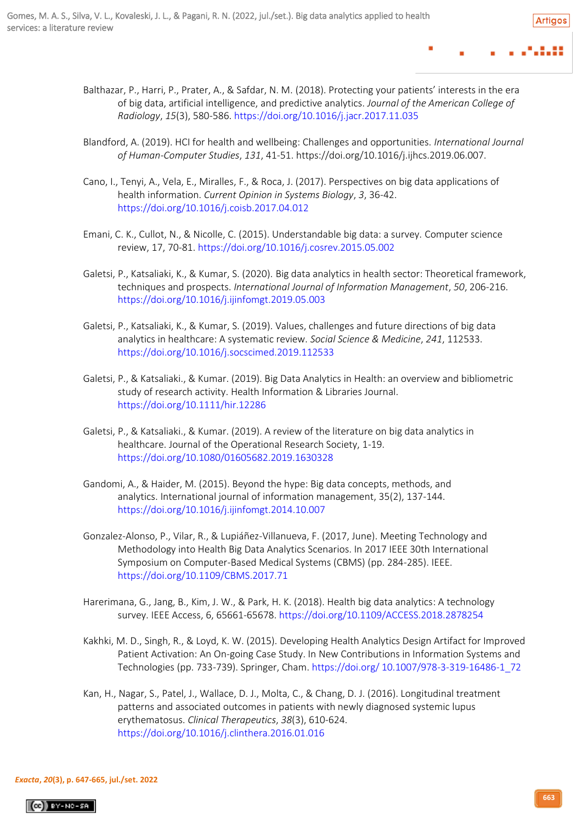- 
- Balthazar, P., Harri, P., Prater, A., & Safdar, N. M. (2018). Protecting your patients' interests in the era of big data, artificial intelligence, and predictive analytics. *Journal of the American College of Radiology*, *15*(3), 580-586[. https://doi.org/10.1016/j.jacr.2017.11.035](https://doi.org/10.1016/j.jacr.2017.11.035)
- Blandford, A. (2019). HCI for health and wellbeing: Challenges and opportunities. *International Journal of Human-Computer Studies*, *131*, 41-51. https://doi.org/10.1016/j.ijhcs.2019.06.007.
- Cano, I., Tenyi, A., Vela, E., Miralles, F., & Roca, J. (2017). Perspectives on big data applications of health information. *Current Opinion in Systems Biology*, *3*, 36-42. <https://doi.org/10.1016/j.coisb.2017.04.012>
- Emani, C. K., Cullot, N., & Nicolle, C. (2015). Understandable big data: a survey. Computer science review, 17, 70-81[. https://doi.org/10.1016/j.cosrev.2015.05.002](https://doi.org/10.1016/j.cosrev.2015.05.002.)
- Galetsi, P., Katsaliaki, K., & Kumar, S. (2020). Big data analytics in health sector: Theoretical framework, techniques and prospects. *International Journal of Information Management*, *50*, 206-216. [https://doi.org/10.1016/j.ijinfomgt.2019.05.003](https://doi.org/10.1016/j.ijinfomgt.2019.05.003.)
- Galetsi, P., Katsaliaki, K., & Kumar, S. (2019). Values, challenges and future directions of big data analytics in healthcare: A systematic review. *Social Science & Medicine*, *241*, 112533. [https://doi.org/10.1016/j.socscimed.2019.112533](https://doi.org/10.1016/j.socscimed.2019.112533.)
- Galetsi, P., & Katsaliaki., & Kumar. (2019). Big Data Analytics in Health: an overview and bibliometric study of research activity. Health Information & Libraries Journal. <https://doi.org/10.1111/hir.12286>
- Galetsi, P., & Katsaliaki., & Kumar. (2019). A review of the literature on big data analytics in healthcare. Journal of the Operational Research Society, 1-19. <https://doi.org/10.1080/01605682.2019.1630328>
- Gandomi, A., & Haider, M. (2015). Beyond the hype: Big data concepts, methods, and analytics. International journal of information management, 35(2), 137-144. <https://doi.org/10.1016/j.ijinfomgt.2014.10.007>
- Gonzalez-Alonso, P., Vilar, R., & Lupiáñez-Villanueva, F. (2017, June). Meeting Technology and Methodology into Health Big Data Analytics Scenarios. In 2017 IEEE 30th International Symposium on Computer-Based Medical Systems (CBMS) (pp. 284-285). IEEE. <https://doi.org/10.1109/CBMS.2017.71>
- Harerimana, G., Jang, B., Kim, J. W., & Park, H. K. (2018). Health big data analytics: A technology survey. IEEE Access, 6, 65661-65678[. https://doi.org/10.1109/ACCESS.2018.2878254](https://doi.org/10.1109/ACCESS.2018.2878254)
- Kakhki, M. D., Singh, R., & Loyd, K. W. (2015). Developing Health Analytics Design Artifact for Improved Patient Activation: An On-going Case Study. In New Contributions in Information Systems and Technologies (pp. 733-739). Springer, Cham. https://doi.org/ [10.1007/978-3-319-16486-1\\_72](https://doi.org/%2010.1007/978-3-319-16486-1_72)
- Kan, H., Nagar, S., Patel, J., Wallace, D. J., Molta, C., & Chang, D. J. (2016). Longitudinal treatment patterns and associated outcomes in patients with newly diagnosed systemic lupus erythematosus. *Clinical Therapeutics*, *38*(3), 610-624. <https://doi.org/10.1016/j.clinthera.2016.01.016>

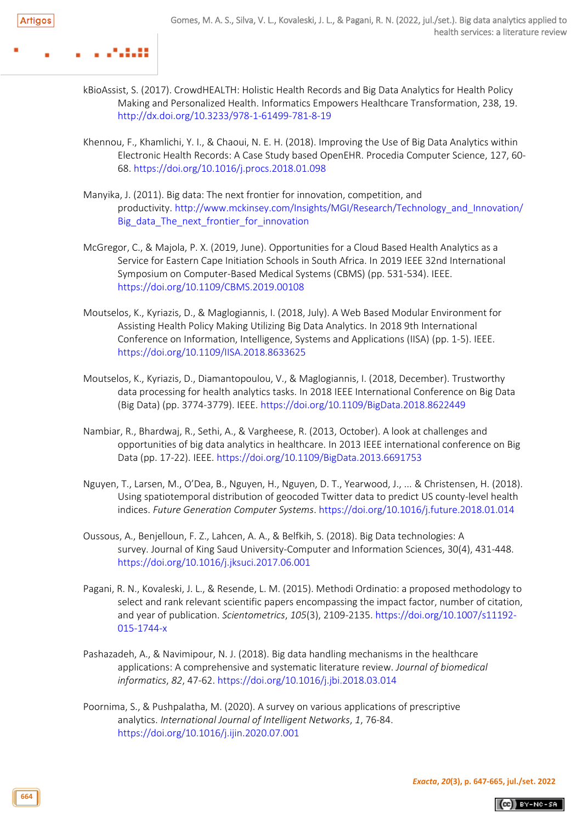......

- kBioAssist, S. (2017). CrowdHEALTH: Holistic Health Records and Big Data Analytics for Health Policy Making and Personalized Health. Informatics Empowers Healthcare Transformation, 238, 19. <http://dx.doi.org/10.3233/978-1-61499-781-8-19>
- Khennou, F., Khamlichi, Y. I., & Chaoui, N. E. H. (2018). Improving the Use of Big Data Analytics within Electronic Health Records: A Case Study based OpenEHR. Procedia Computer Science, 127, 60- 68.<https://doi.org/10.1016/j.procs.2018.01.098>
- Manyika, J. (2011). Big data: The next frontier for innovation, competition, and productivity. [http://www.mckinsey.com/Insights/MGI/Research/Technology\\_and\\_Innovation/](http://www.mckinsey.com/Insights/MGI/Research/Technology_and_Innovation/Big_data_The_next_frontier_for_innovation) [Big\\_data\\_The\\_next\\_frontier\\_for\\_innovation](http://www.mckinsey.com/Insights/MGI/Research/Technology_and_Innovation/Big_data_The_next_frontier_for_innovation)
- McGregor, C., & Majola, P. X. (2019, June). Opportunities for a Cloud Based Health Analytics as a Service for Eastern Cape Initiation Schools in South Africa. In 2019 IEEE 32nd International Symposium on Computer-Based Medical Systems (CBMS) (pp. 531-534). IEEE. <https://doi.org/10.1109/CBMS.2019.00108>
- Moutselos, K., Kyriazis, D., & Maglogiannis, I. (2018, July). A Web Based Modular Environment for Assisting Health Policy Making Utilizing Big Data Analytics. In 2018 9th International Conference on Information, Intelligence, Systems and Applications (IISA) (pp. 1-5). IEEE. <https://doi.org/10.1109/IISA.2018.8633625>
- Moutselos, K., Kyriazis, D., Diamantopoulou, V., & Maglogiannis, I. (2018, December). Trustworthy data processing for health analytics tasks. In 2018 IEEE International Conference on Big Data (Big Data) (pp. 3774-3779). IEEE[. https://doi.org/10.1109/BigData.2018.8622449](https://doi.org/10.1109/BigData.2018.8622449)
- Nambiar, R., Bhardwaj, R., Sethi, A., & Vargheese, R. (2013, October). A look at challenges and opportunities of big data analytics in healthcare. In 2013 IEEE international conference on Big Data (pp. 17-22). IEEE[. https://doi.org/10.1109/BigData.2013.6691753](https://doi.org/10.1109/BigData.2013.6691753)
- Nguyen, T., Larsen, M., O'Dea, B., Nguyen, H., Nguyen, D. T., Yearwood, J., ... & Christensen, H. (2018). Using spatiotemporal distribution of geocoded Twitter data to predict US county-level health indices. *Future Generation Computer Systems*. <https://doi.org/10.1016/j.future.2018.01.014>
- Oussous, A., Benjelloun, F. Z., Lahcen, A. A., & Belfkih, S. (2018). Big Data technologies: A survey. Journal of King Saud University-Computer and Information Sciences, 30(4), 431-448. <https://doi.org/10.1016/j.jksuci.2017.06.001>
- Pagani, R. N., Kovaleski, J. L., & Resende, L. M. (2015). Methodi Ordinatio: a proposed methodology to select and rank relevant scientific papers encompassing the impact factor, number of citation, and year of publication. *Scientometrics*, *105*(3), 2109-2135. [https://doi.org/10.1007/s11192-](https://doi.org/10.1007/s11192-015-1744-x) [015-1744-x](https://doi.org/10.1007/s11192-015-1744-x)
- Pashazadeh, A., & Navimipour, N. J. (2018). Big data handling mechanisms in the healthcare applications: A comprehensive and systematic literature review. *Journal of biomedical informatics*, *82*, 47-62. <https://doi.org/10.1016/j.jbi.2018.03.014>
- Poornima, S., & Pushpalatha, M. (2020). A survey on various applications of prescriptive analytics. *International Journal of Intelligent Networks*, *1*, 76-84. <https://doi.org/10.1016/j.ijin.2020.07.001>

 $(Ge)$  BY-NC-SA